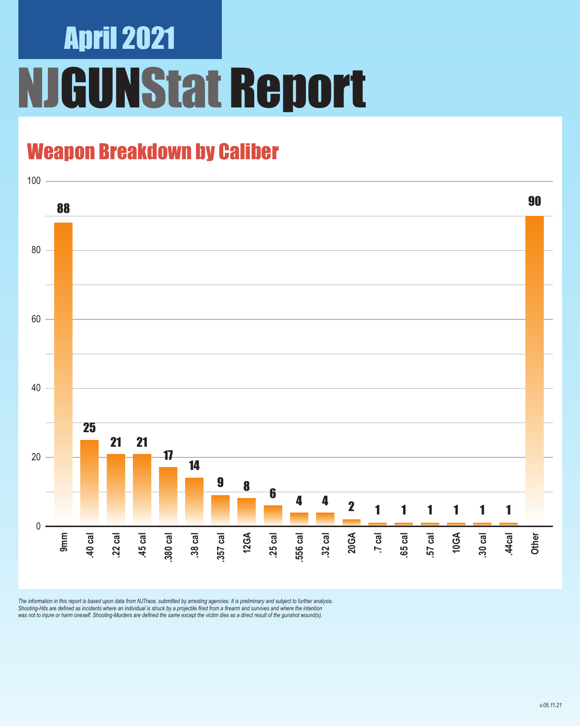# April 2021 **JGUNStat Report**

### Weapon Breakdown by Caliber



The information in this report is based upon data from NJTrace, submitted by arresting agencies. It is preliminary and subject to further analysis.<br>Shooting-Hits are defined as incidents where an individual is struck by a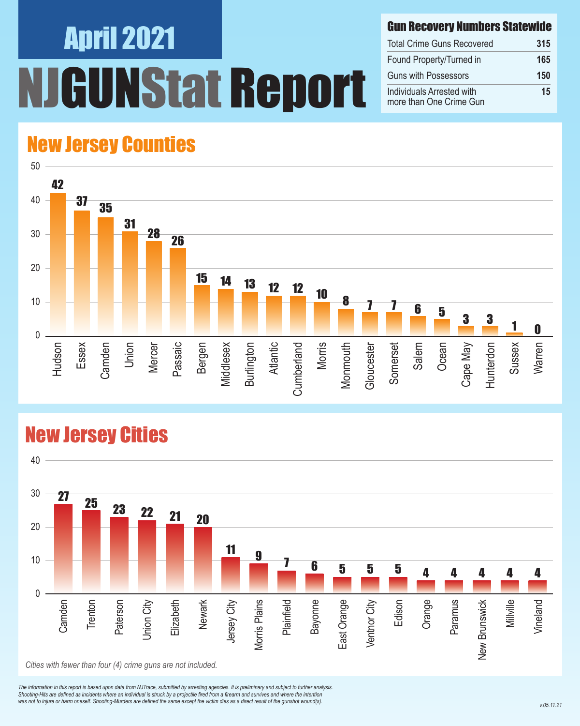# April 2021 **GUNStat Report**

#### Gun Recovery Numbers Statewide

| <b>Total Crime Guns Recovered</b>                    | 315 |
|------------------------------------------------------|-----|
| Found Property/Turned in                             | 165 |
| <b>Guns with Possessors</b>                          | 150 |
| Individuals Arrested with<br>more than One Crime Gun | 15  |

### New Jersey Counties



#### New Jersey Cities



*The information in this report is based upon data from NJTrace, submitted by arresting agencies. It is preliminary and subject to further analysis. Shooting-Hits are defined as incidents where an individual is struck by a projectile fired from a firearm and survives and where the intention*  was not to injure or harm oneself. Shooting-Murders are defined the same except the victim dies as a direct result of the gunshot wound(s).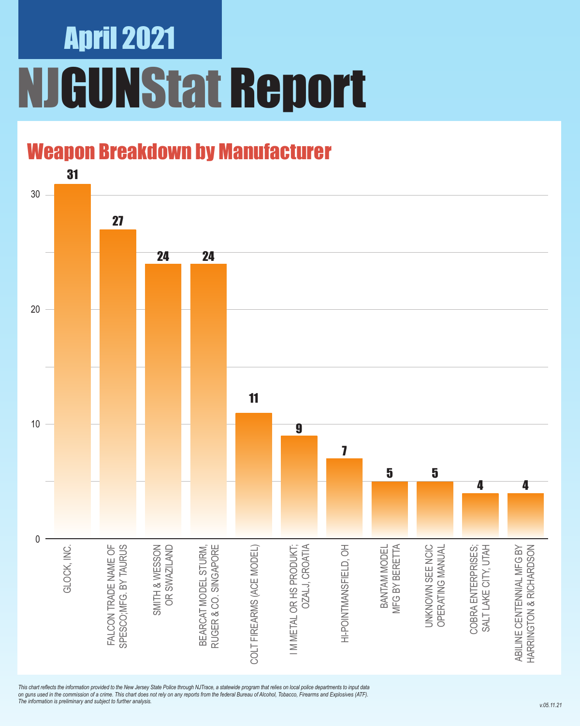## April 2021 NJGUNStat Report

### Weapon Breakdown by Manufacturer



*This chart reflects the information provided to the New Jersey State Police through NJTrace, a statewide program that relies on local police departments to input data on guns used in the commission of a crime. This chart does not rely on any reports from the federal Bureau of Alcohol, Tobacco, Firearms and Explosives (ATF). The information is preliminary and subject to further analysis.*